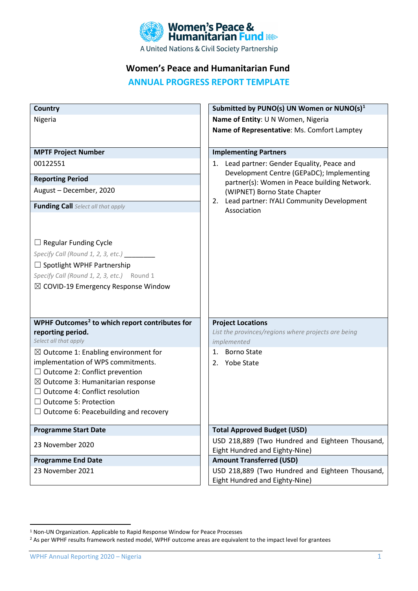

A United Nations & Civil Society Partnership

# **Women's Peace and Humanitarian Fund**

**ANNUAL PROGRESS REPORT TEMPLATE**

| Country                                                                        | Submitted by PUNO(s) UN Women or NUNO(s) $1$                                              |  |  |
|--------------------------------------------------------------------------------|-------------------------------------------------------------------------------------------|--|--|
| Nigeria                                                                        | Name of Entity: U N Women, Nigeria                                                        |  |  |
|                                                                                | Name of Representative: Ms. Comfort Lamptey                                               |  |  |
|                                                                                |                                                                                           |  |  |
| <b>MPTF Project Number</b>                                                     | <b>Implementing Partners</b>                                                              |  |  |
| 00122551                                                                       | Lead partner: Gender Equality, Peace and<br>1.                                            |  |  |
| <b>Reporting Period</b>                                                        | Development Centre (GEPaDC); Implementing<br>partner(s): Women in Peace building Network. |  |  |
| August - December, 2020                                                        | (WIPNET) Borno State Chapter                                                              |  |  |
|                                                                                | Lead partner: IYALI Community Development<br>2.                                           |  |  |
| <b>Funding Call</b> Select all that apply                                      | Association                                                                               |  |  |
|                                                                                |                                                                                           |  |  |
|                                                                                |                                                                                           |  |  |
| $\Box$ Regular Funding Cycle                                                   |                                                                                           |  |  |
| Specify Call (Round 1, 2, 3, etc.) _________                                   |                                                                                           |  |  |
| $\Box$ Spotlight WPHF Partnership                                              |                                                                                           |  |  |
| Specify Call (Round 1, 2, 3, etc.) Round 1                                     |                                                                                           |  |  |
| $\boxtimes$ COVID-19 Emergency Response Window                                 |                                                                                           |  |  |
|                                                                                |                                                                                           |  |  |
|                                                                                |                                                                                           |  |  |
| WPHF Outcomes <sup>2</sup> to which report contributes for                     | <b>Project Locations</b>                                                                  |  |  |
| reporting period.                                                              | List the provinces/regions where projects are being                                       |  |  |
| Select all that apply                                                          | implemented                                                                               |  |  |
| $\boxtimes$ Outcome 1: Enabling environment for                                | <b>Borno State</b><br>1.                                                                  |  |  |
| implementation of WPS commitments.                                             | 2. Yobe State                                                                             |  |  |
| $\Box$ Outcome 2: Conflict prevention                                          |                                                                                           |  |  |
| $\boxtimes$ Outcome 3: Humanitarian response<br>Outcome 4: Conflict resolution |                                                                                           |  |  |
| <b>Outcome 5: Protection</b>                                                   |                                                                                           |  |  |
| $\Box$ Outcome 6: Peacebuilding and recovery                                   |                                                                                           |  |  |
|                                                                                |                                                                                           |  |  |
| <b>Programme Start Date</b>                                                    | <b>Total Approved Budget (USD)</b>                                                        |  |  |
| 23 November 2020                                                               | USD 218,889 (Two Hundred and Eighteen Thousand,                                           |  |  |
|                                                                                | Eight Hundred and Eighty-Nine)                                                            |  |  |
| <b>Programme End Date</b>                                                      | <b>Amount Transferred (USD)</b>                                                           |  |  |
| 23 November 2021                                                               | USD 218,889 (Two Hundred and Eighteen Thousand,                                           |  |  |
|                                                                                | Eight Hundred and Eighty-Nine)                                                            |  |  |

WPHF Annual Reporting 2020 – Nigeria 1 and 2008 1 and 2008 1 and 2008 1 and 2008 1 and 2008 1 and 2008 1 and 2008 1 and 2008 1 and 2008 1 and 2008 1 and 2008 1 and 2008 1 and 2008 1 and 2008 1 and 2008 1 and 2008 1 and 200

<span id="page-0-0"></span><sup>1</sup> Non-UN Organization. Applicable to Rapid Response Window for Peace Processes

<span id="page-0-1"></span><sup>&</sup>lt;sup>2</sup> As per WPHF results framework nested model, WPHF outcome areas are equivalent to the impact level for grantees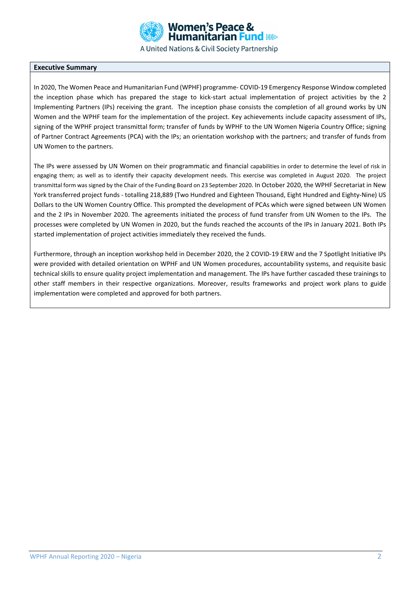

A United Nations & Civil Society Partnership

#### **Executive Summary**

In 2020, The Women Peace and Humanitarian Fund (WPHF) programme- COVID-19 Emergency Response Window completed the inception phase which has prepared the stage to kick-start actual implementation of project activities by the 2 Implementing Partners (IPs) receiving the grant. The inception phase consists the completion of all ground works by UN Women and the WPHF team for the implementation of the project. Key achievements include capacity assessment of IPs, signing of the WPHF project transmittal form; transfer of funds by WPHF to the UN Women Nigeria Country Office; signing of Partner Contract Agreements (PCA) with the IPs; an orientation workshop with the partners; and transfer of funds from UN Women to the partners.

The IPs were assessed by UN Women on their programmatic and financial capabilities in order to determine the level of risk in engaging them; as well as to identify their capacity development needs. This exercise was completed in August 2020. The project transmittal form was signed by the Chair of the Funding Board on 23 September 2020. In October 2020, the WPHF Secretariat in New York transferred project funds - totalling 218,889 (Two Hundred and Eighteen Thousand, Eight Hundred and Eighty-Nine) US Dollars to the UN Women Country Office. This prompted the development of PCAs which were signed between UN Women and the 2 IPs in November 2020. The agreements initiated the process of fund transfer from UN Women to the IPs. The processes were completed by UN Women in 2020, but the funds reached the accounts of the IPs in January 2021. Both IPs started implementation of project activities immediately they received the funds.

Furthermore, through an inception workshop held in December 2020, the 2 COVID-19 ERW and the 7 Spotlight Initiative IPs were provided with detailed orientation on WPHF and UN Women procedures, accountability systems, and requisite basic technical skills to ensure quality project implementation and management. The IPs have further cascaded these trainings to other staff members in their respective organizations. Moreover, results frameworks and project work plans to guide implementation were completed and approved for both partners.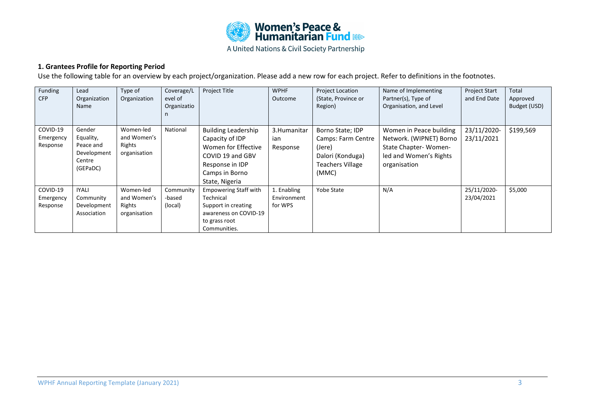

A United Nations & Civil Society Partnership

# **1. Grantees Profile for Reporting Period**

Use the following table for an overview by each project/organization. Please add a new row for each project. Refer to definitions in the footnotes.

| Funding<br><b>CFP</b>             | Lead<br>Organization<br>Name                                          | Type of<br>Organization                            | Coverage/L<br>evel of<br>Organizatio | <b>Project Title</b>                                                                                                                            | <b>WPHF</b><br>Outcome                | <b>Project Location</b><br>(State, Province or<br>Region)                                                | Name of Implementing<br>Partner(s), Type of<br>Organisation, and Level                                               | <b>Project Start</b><br>and End Date | Total<br>Approved<br>Budget (USD) |
|-----------------------------------|-----------------------------------------------------------------------|----------------------------------------------------|--------------------------------------|-------------------------------------------------------------------------------------------------------------------------------------------------|---------------------------------------|----------------------------------------------------------------------------------------------------------|----------------------------------------------------------------------------------------------------------------------|--------------------------------------|-----------------------------------|
| COVID-19<br>Emergency<br>Response | Gender<br>Equality,<br>Peace and<br>Development<br>Centre<br>(GEPaDC) | Women-led<br>and Women's<br>Rights<br>organisation | National                             | <b>Building Leadership</b><br>Capacity of IDP<br>Women for Effective<br>COVID 19 and GBV<br>Response in IDP<br>Camps in Borno<br>State, Nigeria | 3. Humanitar<br>ian<br>Response       | Borno State; IDP<br>Camps: Farm Centre<br>(Jere)<br>Dalori (Konduga)<br><b>Teachers Village</b><br>(MMC) | Women in Peace building<br>Network. (WIPNET) Borno<br>State Chapter-Women-<br>led and Women's Rights<br>organisation | 23/11/2020-<br>23/11/2021            | \$199,569                         |
| COVID-19<br>Emergency<br>Response | <b>IYALI</b><br>Community<br>Development<br>Association               | Women-led<br>and Women's<br>Rights<br>organisation | Community<br>-based<br>(local)       | <b>Empowering Staff with</b><br>Technical<br>Support in creating<br>awareness on COVID-19<br>to grass root<br>Communities.                      | 1. Enabling<br>Environment<br>for WPS | <b>Yobe State</b>                                                                                        | N/A                                                                                                                  | 25/11/2020-<br>23/04/2021            | \$5,000                           |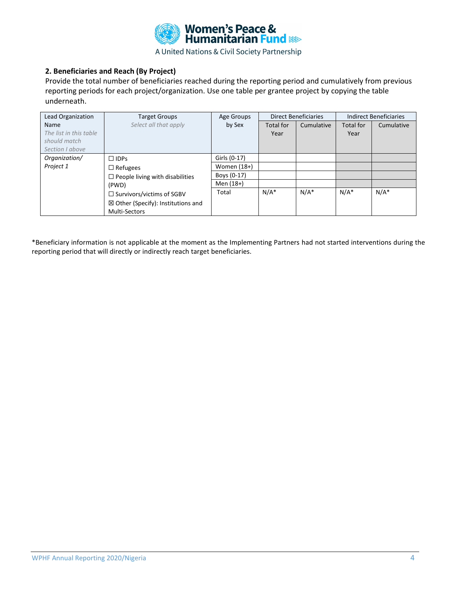

## **2. Beneficiaries and Reach (By Project)**

Provide the total number of beneficiaries reached during the reporting period and cumulatively from previous reporting periods for each project/organization. Use one table per grantee project by copying the table underneath.

| Lead Organization      | <b>Direct Beneficiaries</b><br><b>Target Groups</b><br>Age Groups |               |                  | <b>Indirect Beneficiaries</b> |                  |            |
|------------------------|-------------------------------------------------------------------|---------------|------------------|-------------------------------|------------------|------------|
| Name                   | Select all that apply                                             | by Sex        | <b>Total for</b> | Cumulative                    | <b>Total for</b> | Cumulative |
| The list in this table |                                                                   |               | Year             |                               | Year             |            |
| should match           |                                                                   |               |                  |                               |                  |            |
| Section Labove         |                                                                   |               |                  |                               |                  |            |
| Organization/          | $\Box$ IDPs                                                       | Girls (0-17)  |                  |                               |                  |            |
| Project 1              | $\Box$ Refugees                                                   | Women $(18+)$ |                  |                               |                  |            |
|                        | $\Box$ People living with disabilities                            | Boys (0-17)   |                  |                               |                  |            |
|                        | (PWD)<br>$\Box$ Survivors/victims of SGBV                         | Men (18+)     |                  |                               |                  |            |
|                        |                                                                   | Total         | $N/A^*$          | $N/A^*$                       | $N/A^*$          | $N/A^*$    |
|                        | $\boxtimes$ Other (Specify): Institutions and                     |               |                  |                               |                  |            |
|                        | <b>Multi-Sectors</b>                                              |               |                  |                               |                  |            |

\*Beneficiary information is not applicable at the moment as the Implementing Partners had not started interventions during the reporting period that will directly or indirectly reach target beneficiaries.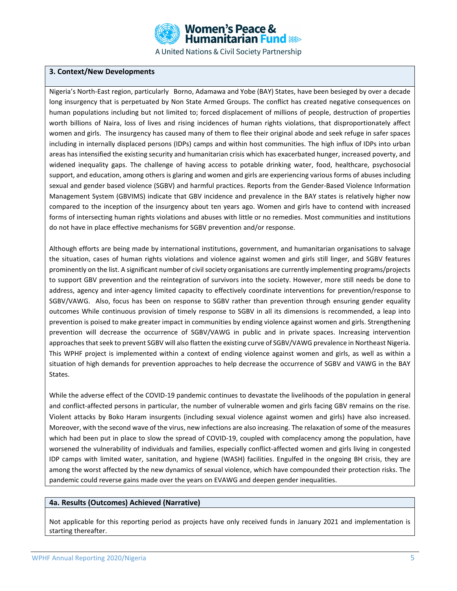

## **3. Context/New Developments**

Nigeria's North-East region, particularly Borno, Adamawa and Yobe (BAY) States, have been besieged by over a decade long insurgency that is perpetuated by Non State Armed Groups. The conflict has created negative consequences on human populations including but not limited to; forced displacement of millions of people, destruction of properties worth billions of Naira, loss of lives and rising incidences of human rights violations, that disproportionately affect women and girls. The insurgency has caused many of them to flee their original abode and seek refuge in safer spaces including in internally displaced persons (IDPs) camps and within host communities. The high influx of IDPs into urban areas has intensified the existing security and humanitarian crisis which has exacerbated hunger, increased poverty, and widened inequality gaps. The challenge of having access to potable drinking water, food, healthcare, psychosocial support, and education, among others is glaring and women and girls are experiencing various forms of abuses including sexual and gender based violence (SGBV) and harmful practices. Reports from the Gender-Based Violence Information Management System (GBVIMS) indicate that GBV incidence and prevalence in the BAY states is relatively higher now compared to the inception of the insurgency about ten years ago. Women and girls have to contend with increased forms of intersecting human rights violations and abuses with little or no remedies. Most communities and institutions do not have in place effective mechanisms for SGBV prevention and/or response.

Although efforts are being made by international institutions, government, and humanitarian organisations to salvage the situation, cases of human rights violations and violence against women and girls still linger, and SGBV features prominently on the list. A significant number of civil society organisations are currently implementing programs/projects to support GBV prevention and the reintegration of survivors into the society. However, more still needs be done to address, agency and inter-agency limited capacity to effectively coordinate interventions for prevention/response to SGBV/VAWG. Also, focus has been on response to SGBV rather than prevention through ensuring gender equality outcomes While continuous provision of timely response to SGBV in all its dimensions is recommended, a leap into prevention is poised to make greater impact in communities by ending violence against women and girls. Strengthening prevention will decrease the occurrence of SGBV/VAWG in public and in private spaces. Increasing intervention approaches that seek to prevent SGBV will also flatten the existing curve of SGBV/VAWG prevalence in Northeast Nigeria. This WPHF project is implemented within a context of ending violence against women and girls, as well as within a situation of high demands for prevention approaches to help decrease the occurrence of SGBV and VAWG in the BAY States.

While the adverse effect of the COVID-19 pandemic continues to devastate the livelihoods of the population in general and conflict-affected persons in particular, the number of vulnerable women and girls facing GBV remains on the rise. Violent attacks by Boko Haram insurgents (including sexual violence against women and girls) have also increased. Moreover, with the second wave of the virus, new infections are also increasing. The relaxation of some of the measures which had been put in place to slow the spread of COVID-19, coupled with complacency among the population, have worsened the vulnerability of individuals and families, especially conflict-affected women and girls living in congested IDP camps with limited water, sanitation, and hygiene (WASH) facilities. Engulfed in the ongoing BH crisis, they are among the worst affected by the new dynamics of sexual violence, which have compounded their protection risks. The pandemic could reverse gains made over the years on EVAWG and deepen gender inequalities.

#### **4a. Results (Outcomes) Achieved (Narrative)**

Not applicable for this reporting period as projects have only received funds in January 2021 and implementation is starting thereafter.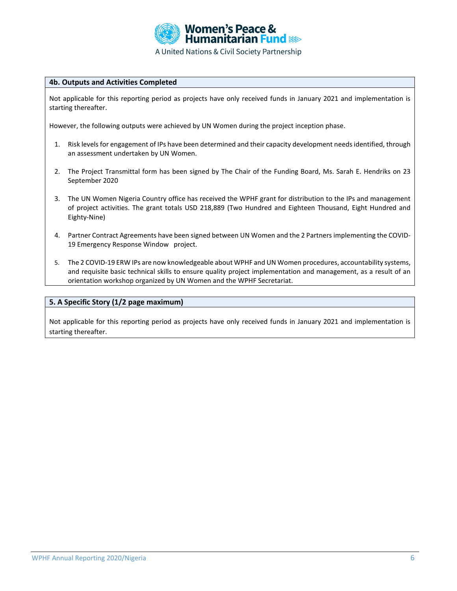

### **4b. Outputs and Activities Completed**

Not applicable for this reporting period as projects have only received funds in January 2021 and implementation is starting thereafter.

However, the following outputs were achieved by UN Women during the project inception phase.

- 1. Risk levels for engagement of IPs have been determined and their capacity development needs identified, through an assessment undertaken by UN Women.
- 2. The Project Transmittal form has been signed by The Chair of the Funding Board, Ms. Sarah E. Hendriks on 23 September 2020
- 3. The UN Women Nigeria Country office has received the WPHF grant for distribution to the IPs and management of project activities. The grant totals USD 218,889 (Two Hundred and Eighteen Thousand, Eight Hundred and Eighty-Nine)
- 4. Partner Contract Agreements have been signed between UN Women and the 2 Partners implementing the COVID-19 Emergency Response Window project.
- 5. The 2 COVID-19 ERW IPs are now knowledgeable about WPHF and UN Women procedures, accountability systems, and requisite basic technical skills to ensure quality project implementation and management, as a result of an orientation workshop organized by UN Women and the WPHF Secretariat.

#### **5. A Specific Story (1/2 page maximum)**

Not applicable for this reporting period as projects have only received funds in January 2021 and implementation is starting thereafter.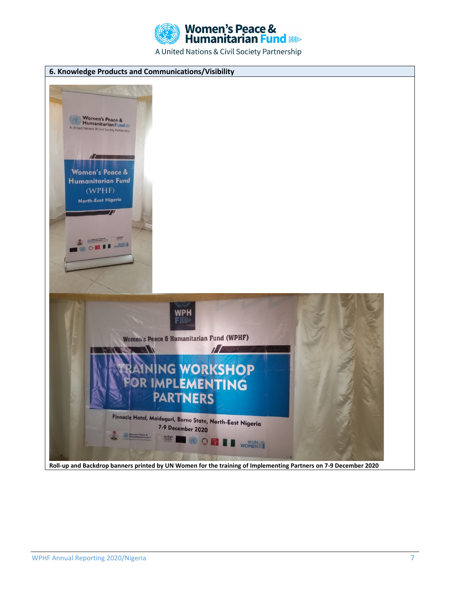

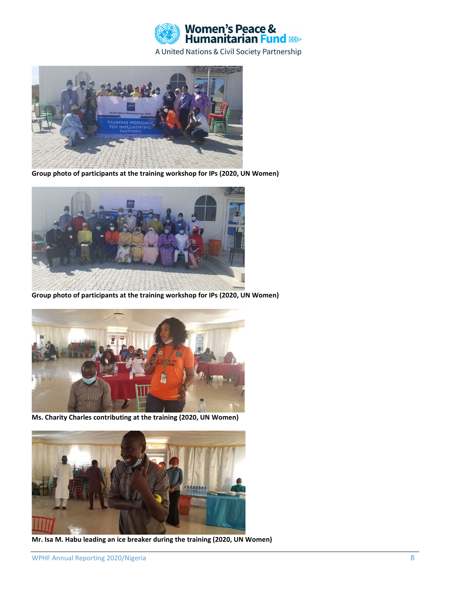



**Group photo of participants at the training workshop for IPs (2020, UN Women)**



**Group photo of participants at the training workshop for IPs (2020, UN Women)**



**Ms. Charity Charles contributing at the training (2020, UN Women)**



**Mr. Isa M. Habu leading an ice breaker during the training (2020, UN Women)**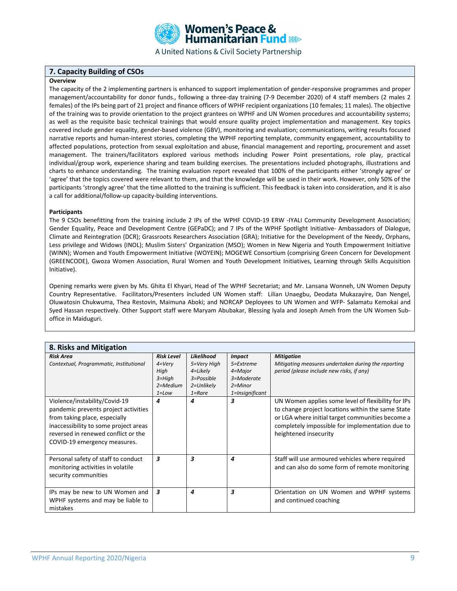

#### **7. Capacity Building of CSOs**

#### **Overview**

The capacity of the 2 implementing partners is enhanced to support implementation of gender-responsive programmes and proper management/accountability for donor funds., following a three-day training (7-9 December 2020) of 4 staff members (2 males 2 females) of the IPs being part of 21 project and finance officers of WPHF recipient organizations (10 females; 11 males). The objective of the training was to provide orientation to the project grantees on WPHF and UN Women procedures and accountability systems; as well as the requisite basic technical trainings that would ensure quality project implementation and management. Key topics covered include gender equality, gender-based violence (GBV), monitoring and evaluation; communications, writing results focused narrative reports and human-interest stories, completing the WPHF reporting template, community engagement, accountability to affected populations, protection from sexual exploitation and abuse, financial management and reporting, procurement and asset management. The trainers/facilitators explored various methods including Power Point presentations, role play, practical individual/group work, experience sharing and team building exercises. The presentations included photographs, illustrations and charts to enhance understanding. The training evaluation report revealed that 100% of the participants either 'strongly agree' or 'agree' that the topics covered were relevant to them, and that the knowledge will be used in their work. However, only 50% of the participants 'strongly agree' that the time allotted to the training is sufficient. This feedback is taken into consideration, and it is also a call for additional/follow-up capacity-building interventions.

#### **Participants**

The 9 CSOs benefitting from the training include 2 IPs of the WPHF COVID-19 ERW -IYALI Community Development Association; Gender Equality, Peace and Development Centre (GEPaDC); and 7 IPs of the WPHF Spotlight Initiative- Ambassadors of Dialogue, Climate and Reintegration (DCR); Grassroots Researchers Association (GRA); Initiative for the Development of the Needy, Orphans, Less privilege and Widows (INOL); Muslim Sisters' Organization (MSO); Women in New Nigeria and Youth Empowerment Initiative (WINN); Women and Youth Empowerment Initiative (WOYEIN); MOGEWE Consortium (comprising Green Concern for Development (GREENCODE), Gwoza Women Association, Rural Women and Youth Development Initiatives, Learning through Skills Acquisition Initiative).

Opening remarks were given by Ms. Ghita El Khyari, Head of The WPHF Secretariat; and Mr. Lansana Wonneh, UN Women Deputy Country Representative. Facilitators/Presenters included UN Women staff: Lilian Unaegbu, Deodata Mukazayire, Dan Nengel, Oluwatosin Chukwuma, Thea Restovin, Maimuna Aboki; and NORCAP Deployees to UN Women and WFP- Salamatu Kemokai and Syed Hassan respectively. Other Support staff were Maryam Abubakar, Blessing Iyala and Joseph Ameh from the UN Women Suboffice in Maiduguri.

| 8. Risks and Mitigation                                                                                                                                                                                                |                                                                                   |                                                                                 |                                                                    |                                                                                                                                                                                                                                         |
|------------------------------------------------------------------------------------------------------------------------------------------------------------------------------------------------------------------------|-----------------------------------------------------------------------------------|---------------------------------------------------------------------------------|--------------------------------------------------------------------|-----------------------------------------------------------------------------------------------------------------------------------------------------------------------------------------------------------------------------------------|
| <b>Risk Area</b><br>Contextual, Programmatic, Institutional                                                                                                                                                            | <b>Risk Level</b><br>$4=V$ ery<br>High<br>$3 = High$<br>$2 = Medium$<br>$1 = Low$ | Likelihood<br>5=Very High<br>4=Likely<br>3=Possible<br>2=Unlikely<br>$1 =$ Rare | <b>Impact</b><br>5=Extreme<br>4=Major<br>3=Moderate<br>$2 =$ Minor | <b>Mitigation</b><br>Mitigating measures undertaken during the reporting<br>period (please include new risks, if any)                                                                                                                   |
| Violence/instability/Covid-19<br>pandemic prevents project activities<br>from taking place, especially<br>inaccessibility to some project areas<br>reversed in renewed conflict or the<br>COVID-19 emergency measures. | 4                                                                                 | 4                                                                               | 1=Insignificant<br>з                                               | UN Women applies some level of flexibility for IPs<br>to change project locations within the same State<br>or LGA where initial target communities become a<br>completely impossible for implementation due to<br>heightened insecurity |
| Personal safety of staff to conduct<br>monitoring activities in volatile<br>security communities                                                                                                                       | 3                                                                                 | 3                                                                               | 4                                                                  | Staff will use armoured vehicles where required<br>and can also do some form of remote monitoring                                                                                                                                       |
| IPs may be new to UN Women and<br>WPHF systems and may be liable to<br>mistakes                                                                                                                                        | $\overline{\mathbf{3}}$                                                           | 4                                                                               | 3                                                                  | Orientation on UN Women and WPHF systems<br>and continued coaching                                                                                                                                                                      |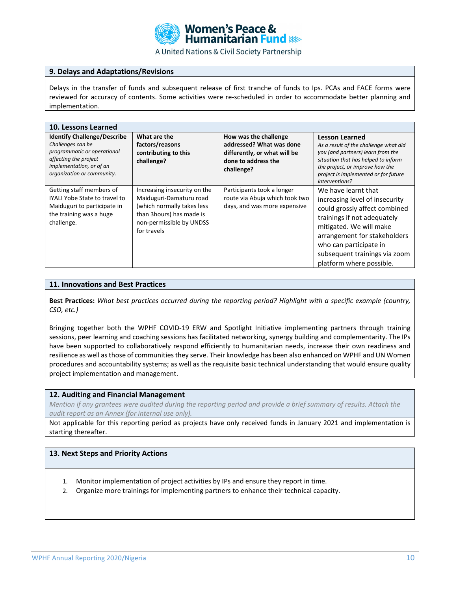

#### **9. Delays and Adaptations/Revisions**

Delays in the transfer of funds and subsequent release of first tranche of funds to Ips. PCAs and FACE forms were reviewed for accuracy of contents. Some activities were re-scheduled in order to accommodate better planning and implementation.

| 10. Lessons Learned                                                                                                                                                       |                                                                                                                                                               |                                                                                                                        |                                                                                                                                                                                                                                                                         |  |  |  |
|---------------------------------------------------------------------------------------------------------------------------------------------------------------------------|---------------------------------------------------------------------------------------------------------------------------------------------------------------|------------------------------------------------------------------------------------------------------------------------|-------------------------------------------------------------------------------------------------------------------------------------------------------------------------------------------------------------------------------------------------------------------------|--|--|--|
| <b>Identify Challenge/Describe</b><br>Challenges can be<br>programmatic or operational<br>affecting the project<br>implementation, or of an<br>organization or community. | What are the<br>factors/reasons<br>contributing to this<br>challenge?                                                                                         | How was the challenge<br>addressed? What was done<br>differently, or what will be<br>done to address the<br>challenge? | <b>Lesson Learned</b><br>As a result of the challenge what did<br>you (and partners) learn from the<br>situation that has helped to inform<br>the project, or improve how the<br>project is implemented or for future<br>interventions?                                 |  |  |  |
| Getting staff members of<br>IYALI Yobe State to travel to<br>Maiduguri to participate in<br>the training was a huge<br>challenge.                                         | Increasing insecurity on the<br>Maiduguri-Damaturu road<br>(which normally takes less<br>than 3 hours) has made is<br>non-permissible by UNDSS<br>for travels | Participants took a longer<br>route via Abuja which took two<br>days, and was more expensive                           | We have learnt that<br>increasing level of insecurity<br>could grossly affect combined<br>trainings if not adequately<br>mitigated. We will make<br>arrangement for stakeholders<br>who can participate in<br>subsequent trainings via zoom<br>platform where possible. |  |  |  |

#### **11. Innovations and Best Practices**

**Best Practices:** *What best practices occurred during the reporting period? Highlight with a specific example (country, CSO, etc.)*

Bringing together both the WPHF COVID-19 ERW and Spotlight Initiative implementing partners through training sessions, peer learning and coaching sessions has facilitated networking, synergy building and complementarity. The IPs have been supported to collaboratively respond efficiently to humanitarian needs, increase their own readiness and resilience as well as those of communities they serve. Their knowledge has been also enhanced on WPHF and UN Women procedures and accountability systems; as well as the requisite basic technical understanding that would ensure quality project implementation and management.

#### **12. Auditing and Financial Management**

*Mention if any grantees were audited during the reporting period and provide a brief summary of results. Attach the audit report as an Annex (for internal use only).*

Not applicable for this reporting period as projects have only received funds in January 2021 and implementation is starting thereafter.

### **13. Next Steps and Priority Actions**

- 1. Monitor implementation of project activities by IPs and ensure they report in time.
- 2. Organize more trainings for implementing partners to enhance their technical capacity.